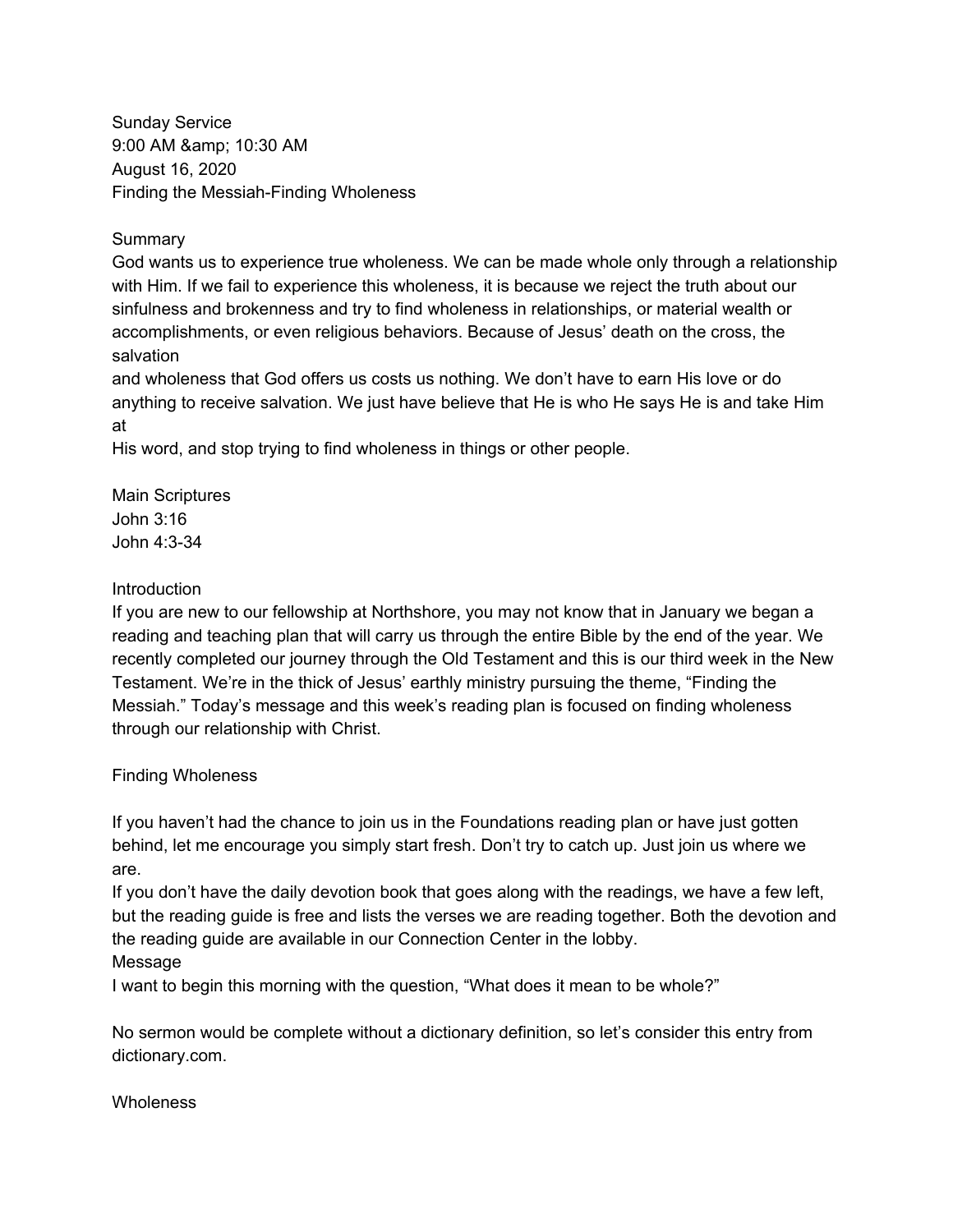Sunday Service 9:00 AM & amp; 10:30 AM August 16, 2020 Finding the Messiah-Finding Wholeness

**Summary** 

God wants us to experience true wholeness. We can be made whole only through a relationship with Him. If we fail to experience this wholeness, it is because we reject the truth about our sinfulness and brokenness and try to find wholeness in relationships, or material wealth or accomplishments, or even religious behaviors. Because of Jesus' death on the cross, the salvation

and wholeness that God offers us costs us nothing. We don't have to earn His love or do anything to receive salvation. We just have believe that He is who He says He is and take Him at

His word, and stop trying to find wholeness in things or other people.

Main Scriptures John 3:16 John 4:3-34

## Introduction

If you are new to our fellowship at Northshore, you may not know that in January we began a reading and teaching plan that will carry us through the entire Bible by the end of the year. We recently completed our journey through the Old Testament and this is our third week in the New Testament. We're in the thick of Jesus' earthly ministry pursuing the theme, "Finding the Messiah." Today's message and this week's reading plan is focused on finding wholeness through our relationship with Christ.

# Finding Wholeness

If you haven't had the chance to join us in the Foundations reading plan or have just gotten behind, let me encourage you simply start fresh. Don't try to catch up. Just join us where we are.

If you don't have the daily devotion book that goes along with the readings, we have a few left, but the reading guide is free and lists the verses we are reading together. Both the devotion and the reading guide are available in our Connection Center in the lobby.

# Message

I want to begin this morning with the question, "What does it mean to be whole?"

No sermon would be complete without a dictionary definition, so let's consider this entry from dictionary.com.

### **Wholeness**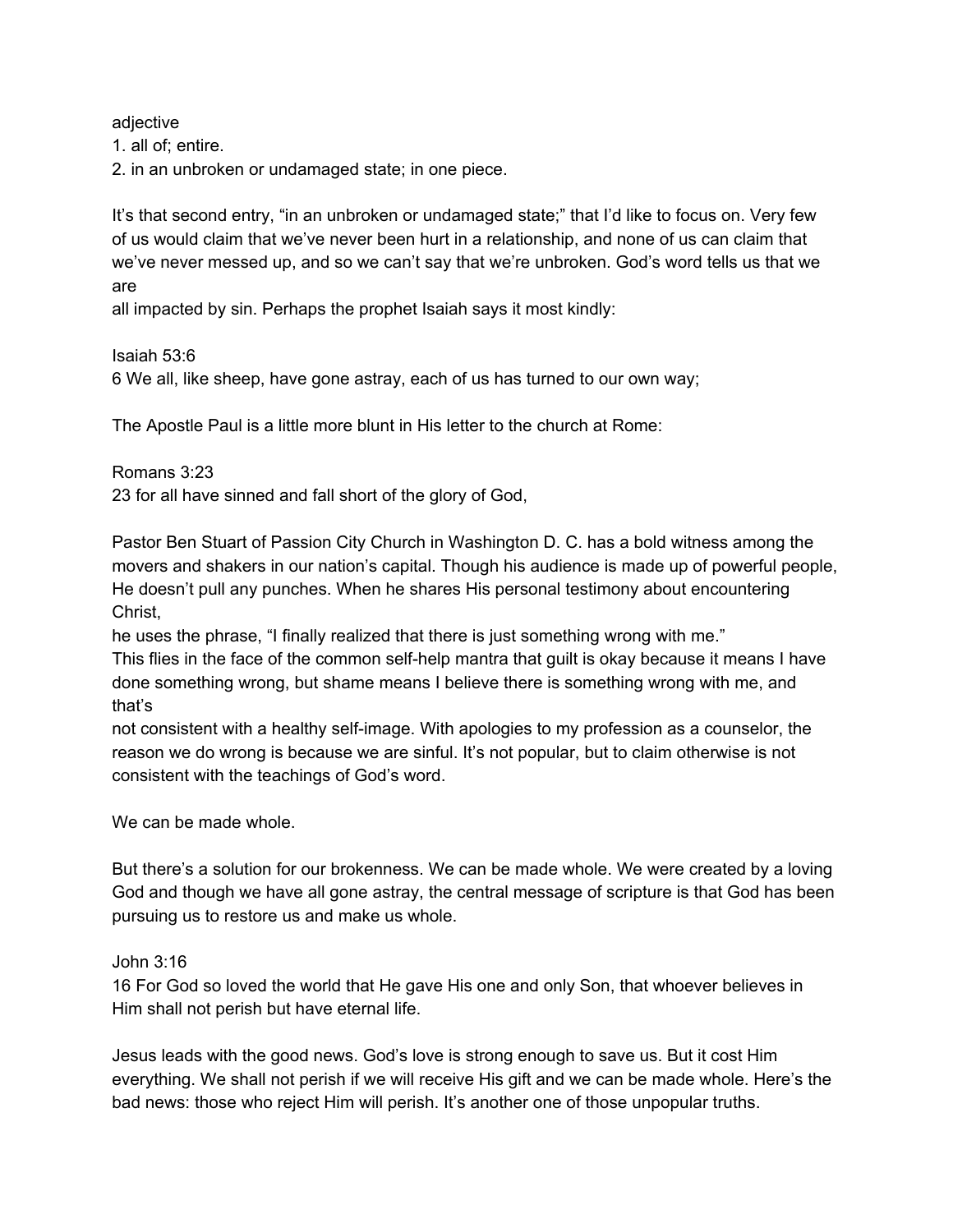adjective

1. all of; entire.

2. in an unbroken or undamaged state; in one piece.

It's that second entry, "in an unbroken or undamaged state;" that I'd like to focus on. Very few of us would claim that we've never been hurt in a relationship, and none of us can claim that we've never messed up, and so we can't say that we're unbroken. God's word tells us that we are

all impacted by sin. Perhaps the prophet Isaiah says it most kindly:

Isaiah 53:6 6 We all, like sheep, have gone astray, each of us has turned to our own way;

The Apostle Paul is a little more blunt in His letter to the church at Rome:

Romans 3:23

23 for all have sinned and fall short of the glory of God,

Pastor Ben Stuart of Passion City Church in Washington D. C. has a bold witness among the movers and shakers in our nation's capital. Though his audience is made up of powerful people, He doesn't pull any punches. When he shares His personal testimony about encountering Christ,

he uses the phrase, "I finally realized that there is just something wrong with me." This flies in the face of the common self-help mantra that guilt is okay because it means I have done something wrong, but shame means I believe there is something wrong with me, and that's

not consistent with a healthy self-image. With apologies to my profession as a counselor, the reason we do wrong is because we are sinful. It's not popular, but to claim otherwise is not consistent with the teachings of God's word.

We can be made whole.

But there's a solution for our brokenness. We can be made whole. We were created by a loving God and though we have all gone astray, the central message of scripture is that God has been pursuing us to restore us and make us whole.

### John 3:16

16 For God so loved the world that He gave His one and only Son, that whoever believes in Him shall not perish but have eternal life.

Jesus leads with the good news. God's love is strong enough to save us. But it cost Him everything. We shall not perish if we will receive His gift and we can be made whole. Here's the bad news: those who reject Him will perish. It's another one of those unpopular truths.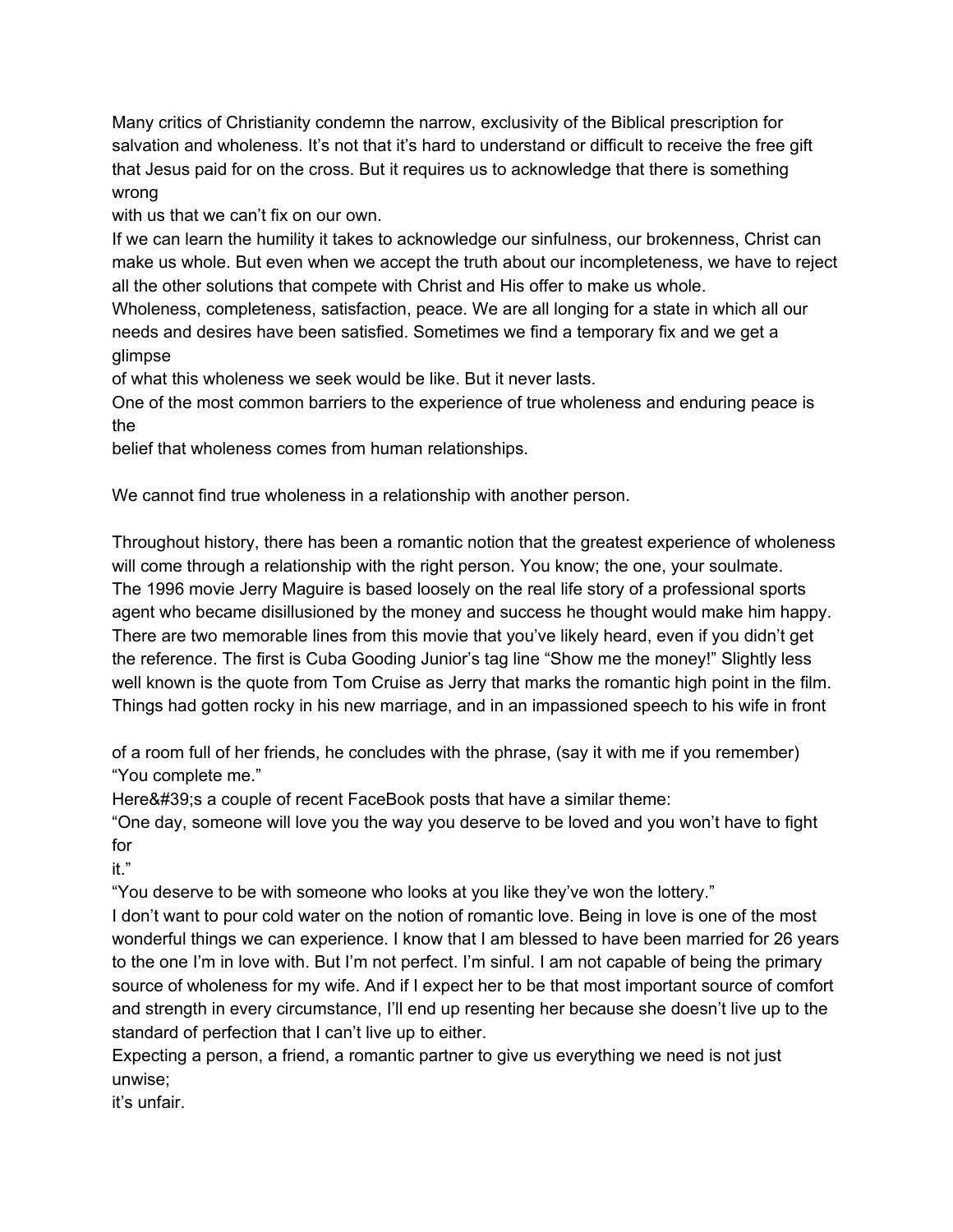Many critics of Christianity condemn the narrow, exclusivity of the Biblical prescription for salvation and wholeness. It's not that it's hard to understand or difficult to receive the free gift that Jesus paid for on the cross. But it requires us to acknowledge that there is something wrong

with us that we can't fix on our own.

If we can learn the humility it takes to acknowledge our sinfulness, our brokenness, Christ can make us whole. But even when we accept the truth about our incompleteness, we have to reject all the other solutions that compete with Christ and His offer to make us whole.

Wholeness, completeness, satisfaction, peace. We are all longing for a state in which all our needs and desires have been satisfied. Sometimes we find a temporary fix and we get a glimpse

of what this wholeness we seek would be like. But it never lasts.

One of the most common barriers to the experience of true wholeness and enduring peace is the

belief that wholeness comes from human relationships.

We cannot find true wholeness in a relationship with another person.

Throughout history, there has been a romantic notion that the greatest experience of wholeness will come through a relationship with the right person. You know; the one, your soulmate. The 1996 movie Jerry Maguire is based loosely on the real life story of a professional sports agent who became disillusioned by the money and success he thought would make him happy. There are two memorable lines from this movie that you've likely heard, even if you didn't get the reference. The first is Cuba Gooding Junior's tag line "Show me the money!" Slightly less well known is the quote from Tom Cruise as Jerry that marks the romantic high point in the film. Things had gotten rocky in his new marriage, and in an impassioned speech to his wife in front

of a room full of her friends, he concludes with the phrase, (say it with me if you remember) "You complete me."

Here' s a couple of recent FaceBook posts that have a similar theme:

"One day, someone will love you the way you deserve to be loved and you won't have to fight for

it."

"You deserve to be with someone who looks at you like they've won the lottery."

I don't want to pour cold water on the notion of romantic love. Being in love is one of the most wonderful things we can experience. I know that I am blessed to have been married for 26 years to the one I'm in love with. But I'm not perfect. I'm sinful. I am not capable of being the primary source of wholeness for my wife. And if I expect her to be that most important source of comfort and strength in every circumstance, I'll end up resenting her because she doesn't live up to the standard of perfection that I can't live up to either.

Expecting a person, a friend, a romantic partner to give us everything we need is not just unwise;

it's unfair.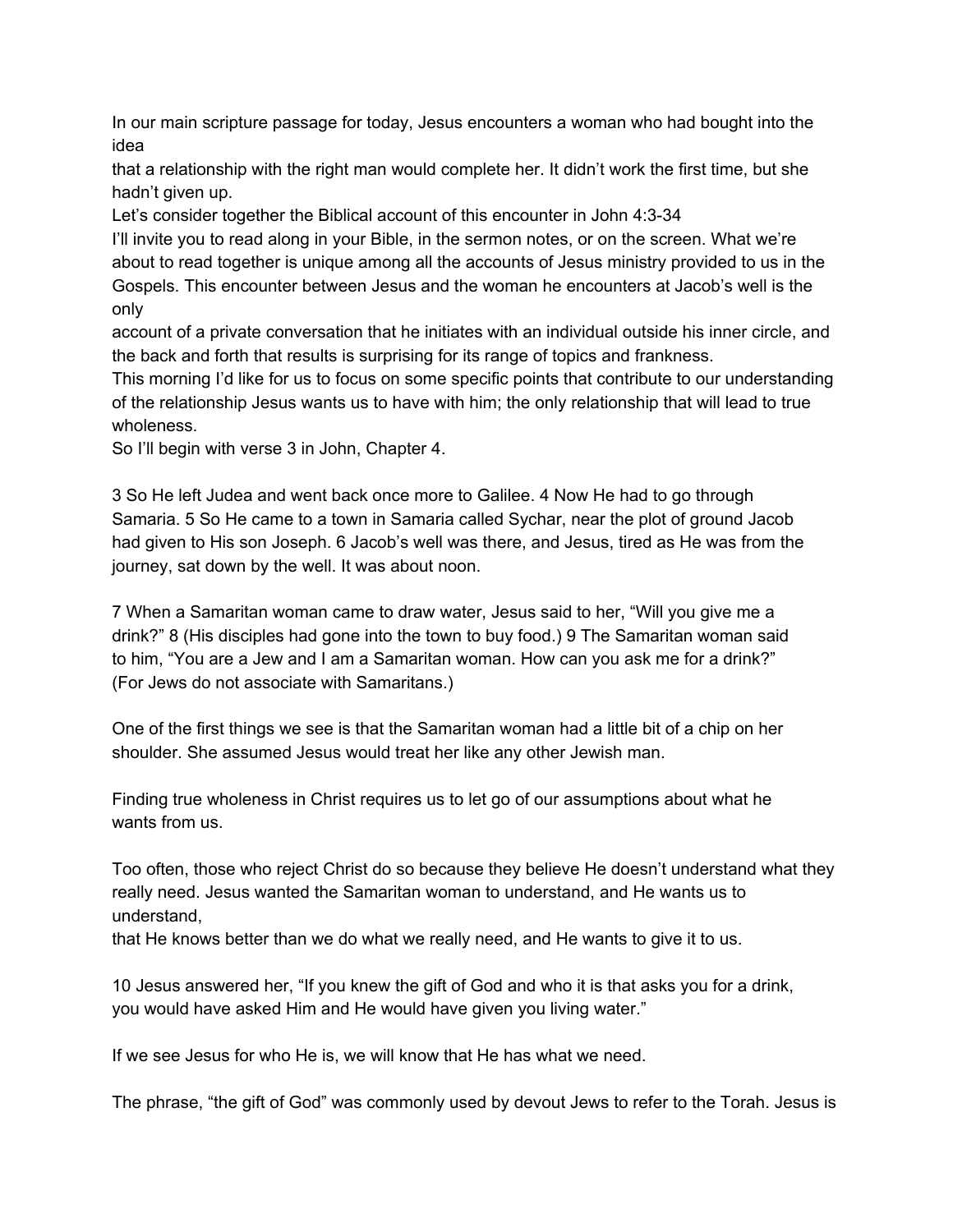In our main scripture passage for today, Jesus encounters a woman who had bought into the idea

that a relationship with the right man would complete her. It didn't work the first time, but she hadn't given up.

Let's consider together the Biblical account of this encounter in John 4:3-34

I'll invite you to read along in your Bible, in the sermon notes, or on the screen. What we're about to read together is unique among all the accounts of Jesus ministry provided to us in the Gospels. This encounter between Jesus and the woman he encounters at Jacob's well is the only

account of a private conversation that he initiates with an individual outside his inner circle, and the back and forth that results is surprising for its range of topics and frankness.

This morning I'd like for us to focus on some specific points that contribute to our understanding of the relationship Jesus wants us to have with him; the only relationship that will lead to true wholeness.

So I'll begin with verse 3 in John, Chapter 4.

3 So He left Judea and went back once more to Galilee. 4 Now He had to go through Samaria. 5 So He came to a town in Samaria called Sychar, near the plot of ground Jacob had given to His son Joseph. 6 Jacob's well was there, and Jesus, tired as He was from the journey, sat down by the well. It was about noon.

7 When a Samaritan woman came to draw water, Jesus said to her, "Will you give me a drink?" 8 (His disciples had gone into the town to buy food.) 9 The Samaritan woman said to him, "You are a Jew and I am a Samaritan woman. How can you ask me for a drink?" (For Jews do not associate with Samaritans.)

One of the first things we see is that the Samaritan woman had a little bit of a chip on her shoulder. She assumed Jesus would treat her like any other Jewish man.

Finding true wholeness in Christ requires us to let go of our assumptions about what he wants from us.

Too often, those who reject Christ do so because they believe He doesn't understand what they really need. Jesus wanted the Samaritan woman to understand, and He wants us to understand,

that He knows better than we do what we really need, and He wants to give it to us.

10 Jesus answered her, "If you knew the gift of God and who it is that asks you for a drink, you would have asked Him and He would have given you living water."

If we see Jesus for who He is, we will know that He has what we need.

The phrase, "the gift of God" was commonly used by devout Jews to refer to the Torah. Jesus is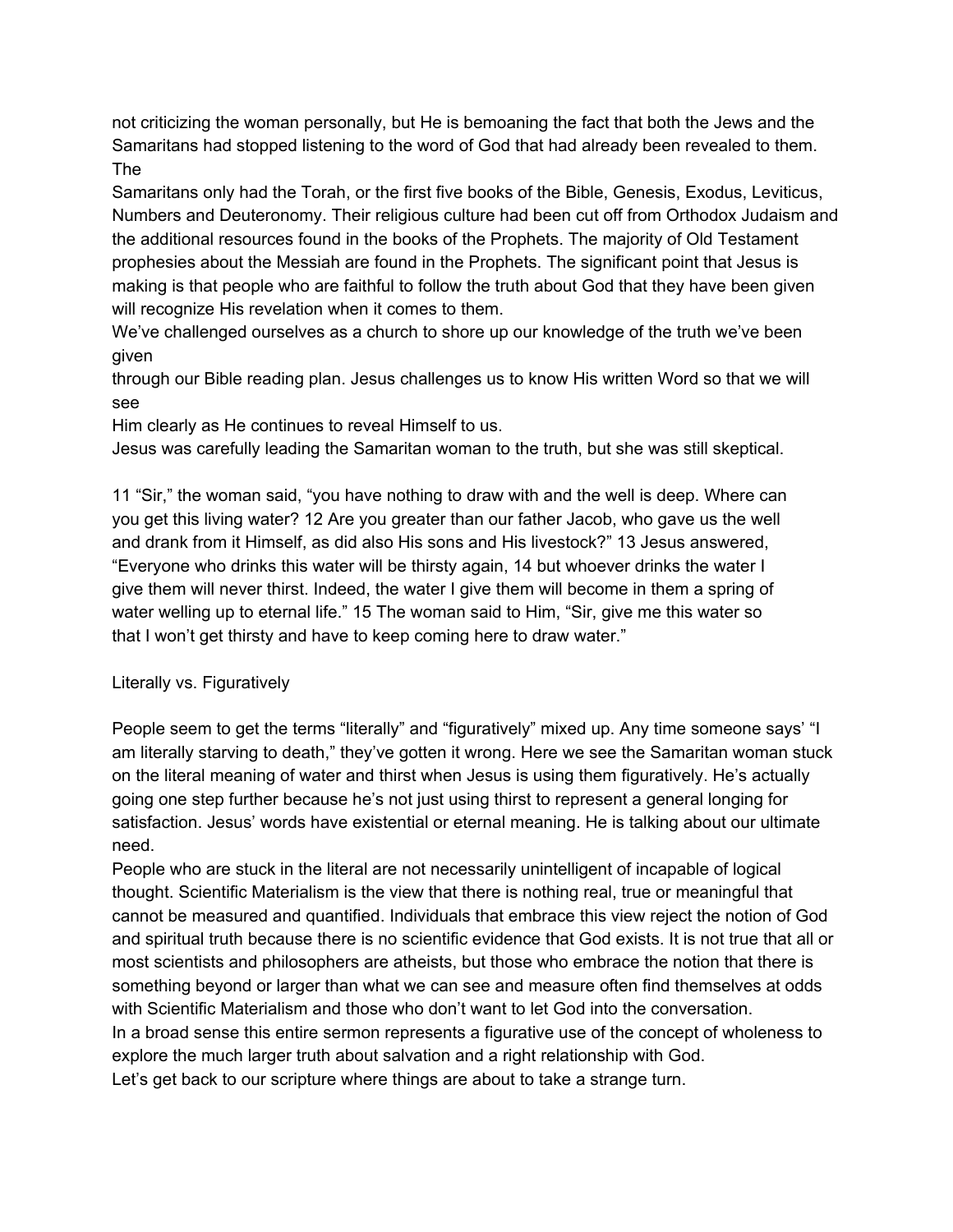not criticizing the woman personally, but He is bemoaning the fact that both the Jews and the Samaritans had stopped listening to the word of God that had already been revealed to them. The

Samaritans only had the Torah, or the first five books of the Bible, Genesis, Exodus, Leviticus, Numbers and Deuteronomy. Their religious culture had been cut off from Orthodox Judaism and the additional resources found in the books of the Prophets. The majority of Old Testament prophesies about the Messiah are found in the Prophets. The significant point that Jesus is making is that people who are faithful to follow the truth about God that they have been given will recognize His revelation when it comes to them.

We've challenged ourselves as a church to shore up our knowledge of the truth we've been given

through our Bible reading plan. Jesus challenges us to know His written Word so that we will see

Him clearly as He continues to reveal Himself to us.

Jesus was carefully leading the Samaritan woman to the truth, but she was still skeptical.

11 "Sir," the woman said, "you have nothing to draw with and the well is deep. Where can you get this living water? 12 Are you greater than our father Jacob, who gave us the well and drank from it Himself, as did also His sons and His livestock?" 13 Jesus answered, "Everyone who drinks this water will be thirsty again, 14 but whoever drinks the water I give them will never thirst. Indeed, the water I give them will become in them a spring of water welling up to eternal life." 15 The woman said to Him, "Sir, give me this water so that I won't get thirsty and have to keep coming here to draw water."

# Literally vs. Figuratively

People seem to get the terms "literally" and "figuratively" mixed up. Any time someone says' "I am literally starving to death," they've gotten it wrong. Here we see the Samaritan woman stuck on the literal meaning of water and thirst when Jesus is using them figuratively. He's actually going one step further because he's not just using thirst to represent a general longing for satisfaction. Jesus' words have existential or eternal meaning. He is talking about our ultimate need.

People who are stuck in the literal are not necessarily unintelligent of incapable of logical thought. Scientific Materialism is the view that there is nothing real, true or meaningful that cannot be measured and quantified. Individuals that embrace this view reject the notion of God and spiritual truth because there is no scientific evidence that God exists. It is not true that all or most scientists and philosophers are atheists, but those who embrace the notion that there is something beyond or larger than what we can see and measure often find themselves at odds with Scientific Materialism and those who don't want to let God into the conversation. In a broad sense this entire sermon represents a figurative use of the concept of wholeness to explore the much larger truth about salvation and a right relationship with God. Let's get back to our scripture where things are about to take a strange turn.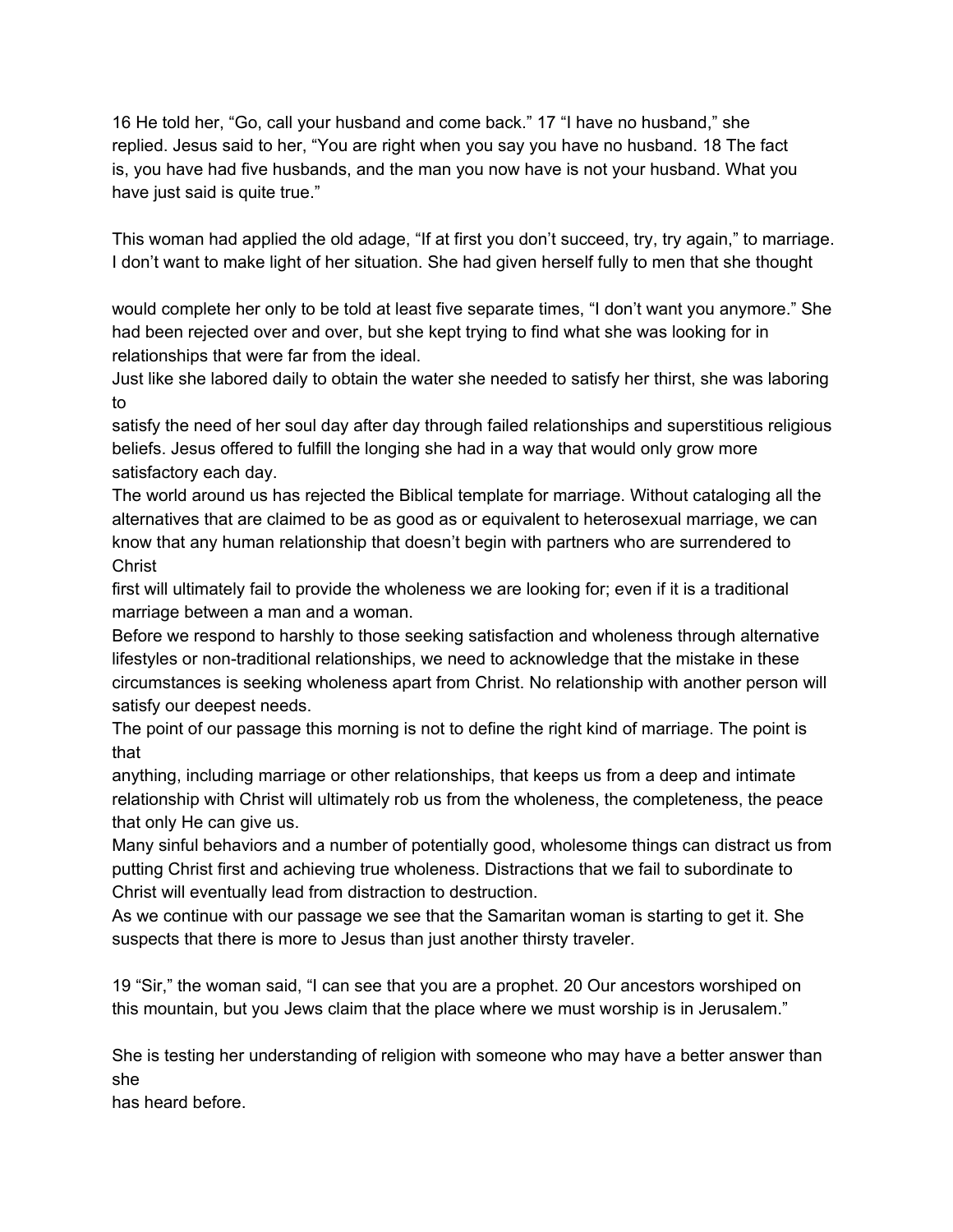16 He told her, "Go, call your husband and come back." 17 "I have no husband," she replied. Jesus said to her, "You are right when you say you have no husband. 18 The fact is, you have had five husbands, and the man you now have is not your husband. What you have just said is quite true."

This woman had applied the old adage, "If at first you don't succeed, try, try again," to marriage. I don't want to make light of her situation. She had given herself fully to men that she thought

would complete her only to be told at least five separate times, "I don't want you anymore." She had been rejected over and over, but she kept trying to find what she was looking for in relationships that were far from the ideal.

Just like she labored daily to obtain the water she needed to satisfy her thirst, she was laboring to

satisfy the need of her soul day after day through failed relationships and superstitious religious beliefs. Jesus offered to fulfill the longing she had in a way that would only grow more satisfactory each day.

The world around us has rejected the Biblical template for marriage. Without cataloging all the alternatives that are claimed to be as good as or equivalent to heterosexual marriage, we can know that any human relationship that doesn't begin with partners who are surrendered to **Christ** 

first will ultimately fail to provide the wholeness we are looking for; even if it is a traditional marriage between a man and a woman.

Before we respond to harshly to those seeking satisfaction and wholeness through alternative lifestyles or non-traditional relationships, we need to acknowledge that the mistake in these circumstances is seeking wholeness apart from Christ. No relationship with another person will satisfy our deepest needs.

The point of our passage this morning is not to define the right kind of marriage. The point is that

anything, including marriage or other relationships, that keeps us from a deep and intimate relationship with Christ will ultimately rob us from the wholeness, the completeness, the peace that only He can give us.

Many sinful behaviors and a number of potentially good, wholesome things can distract us from putting Christ first and achieving true wholeness. Distractions that we fail to subordinate to Christ will eventually lead from distraction to destruction.

As we continue with our passage we see that the Samaritan woman is starting to get it. She suspects that there is more to Jesus than just another thirsty traveler.

19 "Sir," the woman said, "I can see that you are a prophet. 20 Our ancestors worshiped on this mountain, but you Jews claim that the place where we must worship is in Jerusalem."

She is testing her understanding of religion with someone who may have a better answer than she

has heard before.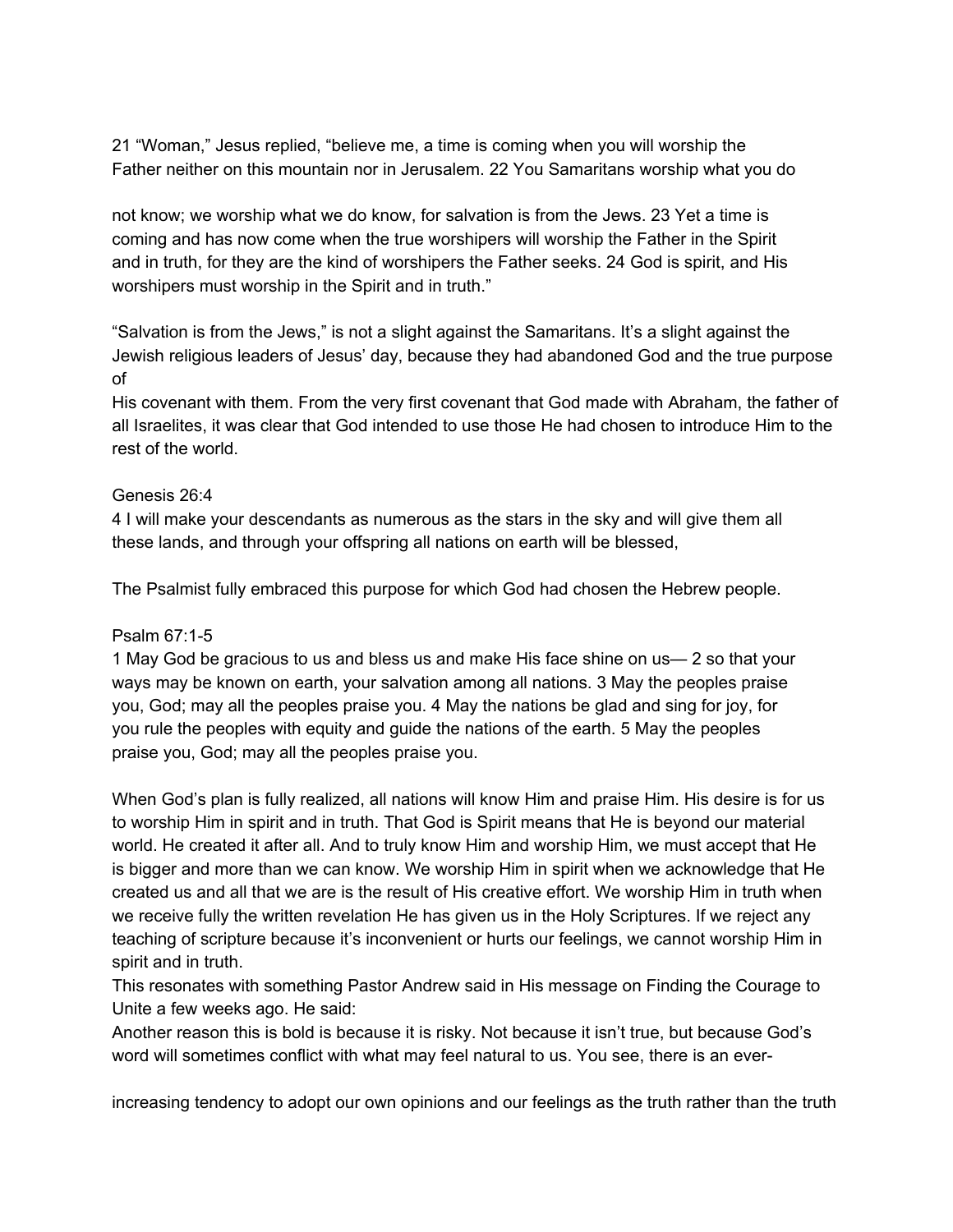21 "Woman," Jesus replied, "believe me, a time is coming when you will worship the Father neither on this mountain nor in Jerusalem. 22 You Samaritans worship what you do

not know; we worship what we do know, for salvation is from the Jews. 23 Yet a time is coming and has now come when the true worshipers will worship the Father in the Spirit and in truth, for they are the kind of worshipers the Father seeks. 24 God is spirit, and His worshipers must worship in the Spirit and in truth."

"Salvation is from the Jews," is not a slight against the Samaritans. It's a slight against the Jewish religious leaders of Jesus' day, because they had abandoned God and the true purpose of

His covenant with them. From the very first covenant that God made with Abraham, the father of all Israelites, it was clear that God intended to use those He had chosen to introduce Him to the rest of the world.

### Genesis 26:4

4 I will make your descendants as numerous as the stars in the sky and will give them all these lands, and through your offspring all nations on earth will be blessed,

The Psalmist fully embraced this purpose for which God had chosen the Hebrew people.

# Psalm 67:1-5

1 May God be gracious to us and bless us and make His face shine on us— 2 so that your ways may be known on earth, your salvation among all nations. 3 May the peoples praise you, God; may all the peoples praise you. 4 May the nations be glad and sing for joy, for you rule the peoples with equity and guide the nations of the earth. 5 May the peoples praise you, God; may all the peoples praise you.

When God's plan is fully realized, all nations will know Him and praise Him. His desire is for us to worship Him in spirit and in truth. That God is Spirit means that He is beyond our material world. He created it after all. And to truly know Him and worship Him, we must accept that He is bigger and more than we can know. We worship Him in spirit when we acknowledge that He created us and all that we are is the result of His creative effort. We worship Him in truth when we receive fully the written revelation He has given us in the Holy Scriptures. If we reject any teaching of scripture because it's inconvenient or hurts our feelings, we cannot worship Him in spirit and in truth.

This resonates with something Pastor Andrew said in His message on Finding the Courage to Unite a few weeks ago. He said:

Another reason this is bold is because it is risky. Not because it isn't true, but because God's word will sometimes conflict with what may feel natural to us. You see, there is an ever-

increasing tendency to adopt our own opinions and our feelings as the truth rather than the truth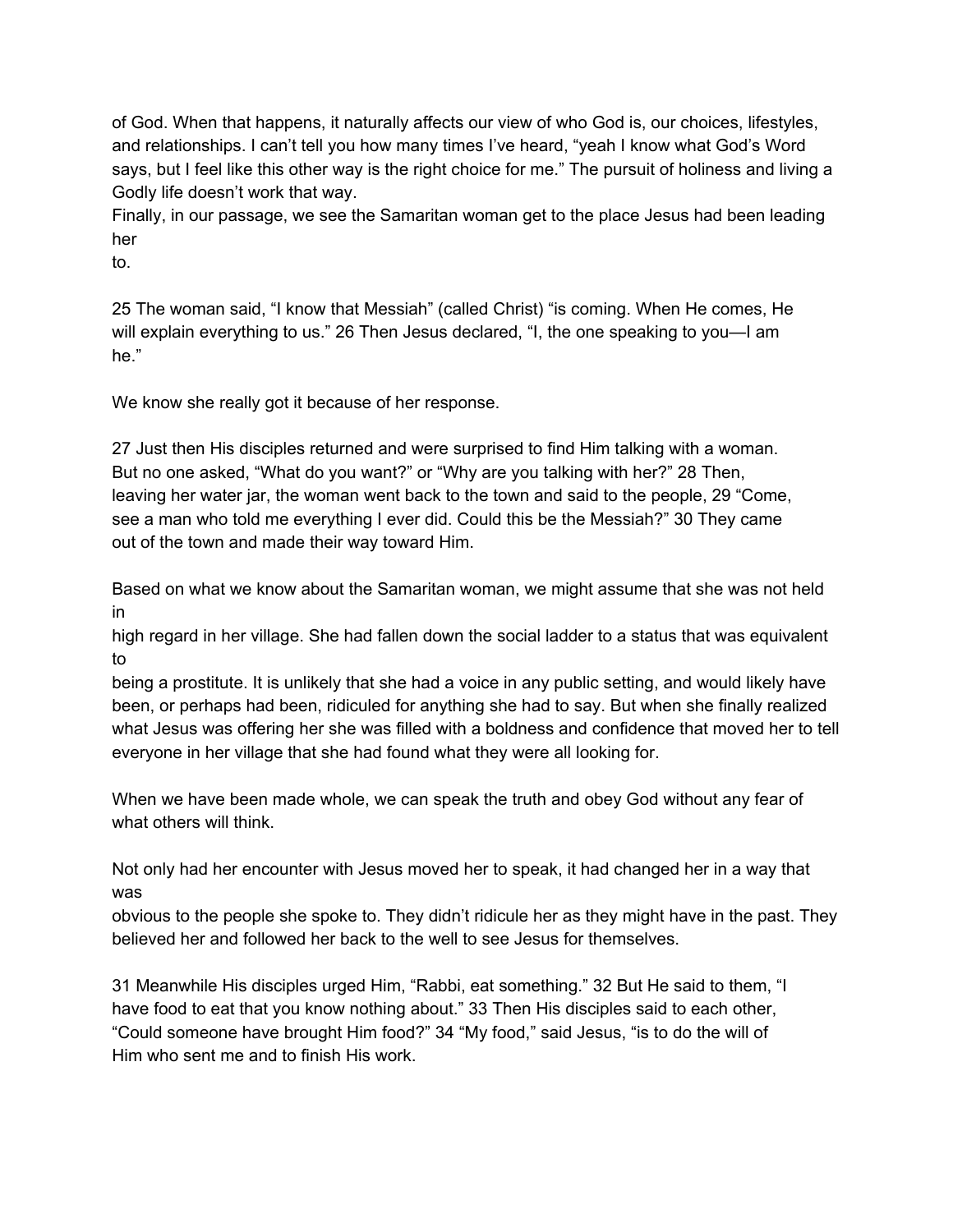of God. When that happens, it naturally affects our view of who God is, our choices, lifestyles, and relationships. I can't tell you how many times I've heard, "yeah I know what God's Word says, but I feel like this other way is the right choice for me." The pursuit of holiness and living a Godly life doesn't work that way.

Finally, in our passage, we see the Samaritan woman get to the place Jesus had been leading her

to.

25 The woman said, "I know that Messiah" (called Christ) "is coming. When He comes, He will explain everything to us." 26 Then Jesus declared, "I, the one speaking to you—I am he."

We know she really got it because of her response.

27 Just then His disciples returned and were surprised to find Him talking with a woman. But no one asked, "What do you want?" or "Why are you talking with her?" 28 Then, leaving her water jar, the woman went back to the town and said to the people, 29 "Come, see a man who told me everything I ever did. Could this be the Messiah?" 30 They came out of the town and made their way toward Him.

Based on what we know about the Samaritan woman, we might assume that she was not held in

high regard in her village. She had fallen down the social ladder to a status that was equivalent to

being a prostitute. It is unlikely that she had a voice in any public setting, and would likely have been, or perhaps had been, ridiculed for anything she had to say. But when she finally realized what Jesus was offering her she was filled with a boldness and confidence that moved her to tell everyone in her village that she had found what they were all looking for.

When we have been made whole, we can speak the truth and obey God without any fear of what others will think.

Not only had her encounter with Jesus moved her to speak, it had changed her in a way that was

obvious to the people she spoke to. They didn't ridicule her as they might have in the past. They believed her and followed her back to the well to see Jesus for themselves.

31 Meanwhile His disciples urged Him, "Rabbi, eat something." 32 But He said to them, "I have food to eat that you know nothing about." 33 Then His disciples said to each other, "Could someone have brought Him food?" 34 "My food," said Jesus, "is to do the will of Him who sent me and to finish His work.